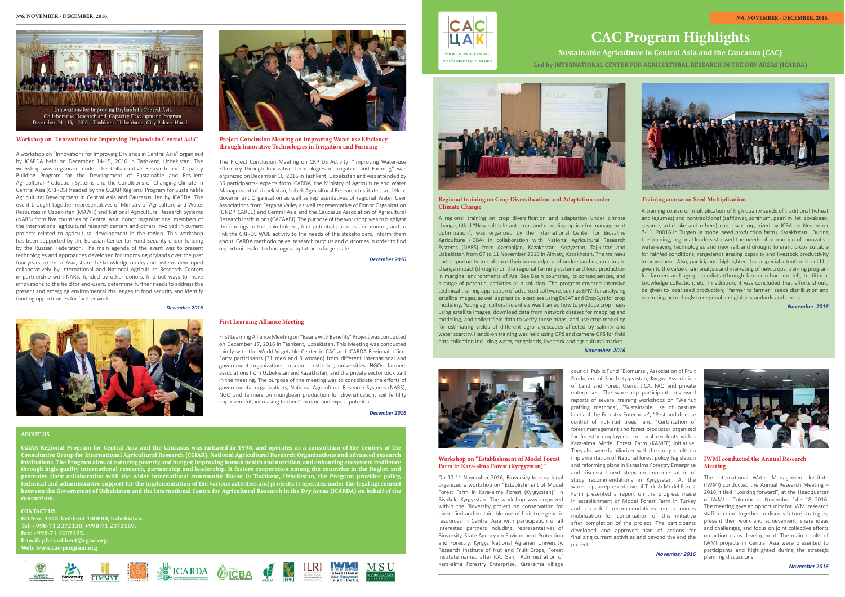**ABOUT US**

**CGIAR Regional Program for Central Asia and the Caucasus was initiated in 1998, and operates as a consortium of the Centers of the Consultative Group for International Agricultural Research (CGIAR), National Agricultural Research Organizations and advanced research institutions. The Program aims at reducing poverty and hunger, improving human health and nutrition, and enhancing ecosystem resilience through high-quality international research, partnership and leadership. It fosters cooperation among the countries in the Region and promotes their collaboration with the wider international community. Based in Tashkent, Uzbekistan, the Program provides policy, the initial and administrative support for the implementation of the various activities and projects. It operates under the legal agreeme between the Government of Uzbekistan and the International Centre for Agricultural Research in the Dry Areas (ICARDA) on behalf of the consortium.**

**CONTACT US P.O.Box: 4375 Tashkent 100000, Uzbekistan. Tel: +998-71 2372130, +998-71 2372169. Fax: +998-71 1207125. E-mail: pfu-tashkent@cgiar.org. Web: www.cac-program.org**





**Workshop on "Innovations for Improving Drylands in Central Asia"**

**Project Conclusion Meeting on Improving Water-use Efficiency through Innovative Technologies in Irrigation and Farming**

A workshop on "Innovations for Improving Drylands in Central Asia" organized by ICARDA held on December 14-15, 2016 in Tashkent, Uzbekistan. The workshop was organized under the Collaborative Research and Capacity Building Program for the Development of Sustainable and Resilient Agricultural Production Systems and the Conditions of Changing Climate in Central Asia (CRP-DS) headed by the CGIAR Regional Program for Sustainable Agricultural Development in Central Asia and Caucasus led by ICARDA. The event brought together representatives of Ministry of Agriculture and Water Resources in Uzbekistan (MAWR) and National Agricultural Research Systems (NARS) from five countries of Central Asia, donor organizations, members of the international agricultural research centers and others involved in current projects related to agricultural development in the region. This workshop has been supported by the Eurasian Center for Food Security under funding by the Russian Federation. The main agenda of the event was to present technologies and approaches developed for improving drylands over the past four years in Central Asia, share the knowledge on dryland systems developed collaboratively by International and National Agriculture Research Centers in partnership with NARS, funded by other donors, find out ways to move innovations to the field for end-users, determine further needs to address the present and emerging environmental challenges to food security and identify funding opportunities for further work.

*December 2016* 





**Regional training on Crop Diversification and Adaptation under Climate Change** 

The Project Conclusion Meeting on CRP DS Activity: "Improving Water-use Efficiency through Innovative Technologies in Irrigation and Farming" was organized on December 16, 2016 in Tashkent, Uzbekistan and was attended by 36 participants - experts from ICARDA, the Ministry of Agriculture and Water Management of Uzbekistan, Uzbek Agricultural Research Institutes and Non-Government Organization as well as representatives of regional Water User Associations from Fergana Valley as well representative of Donor Organization (UNDP, CAREC) and Central Asia and the Caucasus Association of Agricultural Research Institutions (CACAARI). The purpose of the workshop was to highlight the findings to the stakeholders, find potential partners and donors, and to link the CRP-DS WUE activity to the needs of the stakeholders, inform them about ICARDA methodologies, research outputs and outcomes in order to find opportunities for technology adaptation in large-scale.

*December 2016* 

## **First Learning Alliance Meeting**

First Learning Alliance Meeting on "Beans with Benefits" Project was conducted on December 17, 2016 in Tashkent, Uzbekistan. This Meeting was conducted jointly with the World Vegetable Center in CAC and ICARDA Regional office. Forty participants (31 men and 9 women) from different international and government organizations, research institutes, universities, NGOs, farmers associations from Uzbekistan and Kazakhstan, and the private sector took part in the meeting. The purpose of the meeting was to consolidate the efforts of governmental organizations, National Agricultural Research Systems (NARS), NGO and farmers on mungbean production for diversification, soil fertility improvement, increasing farmers' income and export potential.

*December 2016* 



# **CAC Program Highlights**



**Sustainable Agriculture in Central Asia and the Caucasus (CAC)**

**Led by INTERNATIONAL CENTER FOR AGRICULTURAL RESEARCH IN THE DRY AREAS (ICARDA)**



# **IWMI conducted the Annual Research Meeting**

The International Water Management Institute (IWMI) conducted the Annual Research Meeting – 2016, titled "Looking forward", at the Headquarter of IWMI in Colombo on November 14 – 18, 2016. The meeting gave an opportunity for IWMI research staff to come together to discuss future strategies, present their work and achievement, share ideas and challenges, and focus on joint collective efforts on action plans development. The main results of IWMI projects in Central Asia were presented to participants and highlighted during the strategic planning discussions.

**Workshop on "Establishment of Model Forest Farm in Kara-аlma Forest (Kyrgyzstan)"**

On 10-11 November 2016, Bioversity International organized a workshop on "Establishment of Model Forest Farm in Kara-аlma Forest (Kyrgyzstan)" in Bishkek, Kyrgyzstan. The workshop was organized within the Bioversity project on conservation for diversified and sustainable use of fruit tree genetic resources in Central Asia with participation of all interested partners including, representatives of Bioversity, State Agency on Environment Protection and Forestry, Kyrgyz National Agrarian University, Research Institute of Nut and Fruit Crops, Forest Institute named after P.A. Gan, Administration of Kara-аlma Forestry Enterprise, Kara-аlma village

A regional training on crop diversification and adaptation under climate change, titled "New salt tolerant crops and modeling option for management optimization", was organized by the International Center for Biosaline Agriculture (ICBA) in collaboration with National Agricultural Research Systems (NARS) from Azerbaijan, Kazakhstan, Kyrgyzstan, Tajikistan and Uzbekistan from 07 to 11 November 2016 in Almaty, Kazakhstan. The trainees had opportunity to enhance their knowledge and understanding on climate change impact (drought) on the regional farming system and food production in marginal environments of Aral Sea Basin countries, its consequences, and a range of potential activities as a solution. The program covered intensive technical training application of advanced software, such as ENVI for analyzing satellite images, as well as practical exercises using DsSAT and CropSyst for crop modeling. Young agricultural scientists was trained how to produce crop maps using satellite images, download data from network dataset for mapping and modeling, and collect field data to verify these maps, and use crop modeling for estimating yields of different agro-landscapes affected by salinity and water scarcity. Hands-on training was held using GPS and camera-GPS for field data collection including water, rangelands, livestock and agricultural market.

*November 2016*



#### **Training course on Seed Multiplication**

A training course on multiplication of high quality seeds of traditional (wheat and legumes) and nontraditional (safflower, sorghum, pearl millet, soyabean, sesame, artichoke and others) crops was organized by ICBA on November 7-11, 20016 in Turgen (a model seed production farm), Kazakhstan. During the training, regional leaders stressed the needs of promotion of innovative water-saving technologies and new salt and drought tolerant crops suitable for rainfed conditions, rangelands grazing capacity and livestock productivity improvement. Also, participants highlighted that a special attention should be given to the value chain analysis and marketing of new crops, training program for farmers and agropastoralists (through farmer school model), traditional knowledge collection, etc. In addition, it was concluded that efforts should be given to local seed production; "farmer to farmer" seeds distribution and marketing accordingly to regional and global standards and needs.

*November 2016*

**WWW.CAC-PROGRAM.ORGPFU-TASHKENT@CGIAR.ORG**

CAC

council, Public Fund "Biomuras", Association of Fruit Producers of South Kyrgyzstan, Kyrgyz Association of Land and Forest Users, JICA, FAO and private enterprises. The workshop participants reviewed reports of several training workshops on "Walnut grafting methods", "Sustainable use of pasture lands of the Forestry Enterprise", "Pest and disease control of nut-fruit trees" and "Certification of forest management and forest products» organized for forestry employees and local residents within Kara-аlma Model Forest Farm (KAMFF) initiative. They also were familiarized with the study results on implementation of National forest policy, legislation and reforming plans in Karaalma Forestry Enterprise and discussed next steps on implementation of study recommendations in Kyrgyzstan. At the workshop, a representative of Turkish Model Forest Farm presented a report on the progress made in establishment of Model Forest Farm in Turkey and provided recommendations on resources mobilization for continuation of this initiative after completion of the project. The participants developed and approved plan of actions for finalizing current activities and beyond the end the project.

*November 2016*